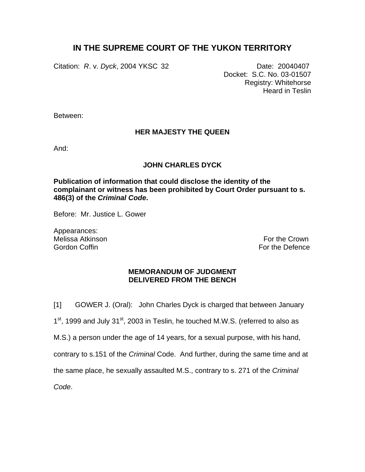## **IN THE SUPREME COURT OF THE YUKON TERRITORY**

Citation: *R. v. Dyck*, 2004 YKSC 32 Date: 20040407

 Docket: S.C. No. 03-01507 Registry: Whitehorse Heard in Teslin

Between:

## **HER MAJESTY THE QUEEN**

And:

## **JOHN CHARLES DYCK**

**Publication of information that could disclose the identity of the complainant or witness has been prohibited by Court Order pursuant to s. 486(3) of the** *Criminal Code***.** 

Before: Mr. Justice L. Gower

Appearances: Melissa Atkinson and The Crown For the Crown For the Crown For the Crown For the Crown Section 1.1 At the Section 1.1 At the Defence

For the Defence

## **MEMORANDUM OF JUDGMENT DELIVERED FROM THE BENCH**

[1] GOWER J. (Oral): John Charles Dyck is charged that between January  $1<sup>st</sup>$ , 1999 and July 31 $<sup>st</sup>$ , 2003 in Teslin, he touched M.W.S. (referred to also as</sup> M.S.) a person under the age of 14 years, for a sexual purpose, with his hand, contrary to s.151 of the *Criminal* Code. And further, during the same time and at the same place, he sexually assaulted M.S., contrary to s. 271 of the *Criminal Code*.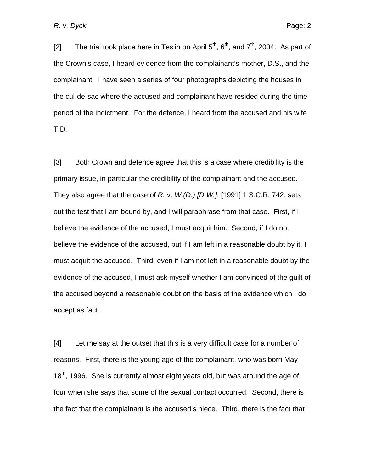[2] The trial took place here in Teslin on April  $5<sup>th</sup>$ ,  $6<sup>th</sup>$ , and  $7<sup>th</sup>$ , 2004. As part of the Crown's case, I heard evidence from the complainant's mother, D.S., and the complainant. I have seen a series of four photographs depicting the houses in the cul-de-sac where the accused and complainant have resided during the time period of the indictment. For the defence, I heard from the accused and his wife T.D.

[3] Both Crown and defence agree that this is a case where credibility is the primary issue, in particular the credibility of the complainant and the accused. They also agree that the case of *R.* v. *W.(D.) [D.W.]*, [1991] 1 S.C.R. 742, sets out the test that I am bound by, and I will paraphrase from that case. First, if I believe the evidence of the accused, I must acquit him. Second, if I do not believe the evidence of the accused, but if I am left in a reasonable doubt by it, I must acquit the accused. Third, even if I am not left in a reasonable doubt by the evidence of the accused, I must ask myself whether I am convinced of the guilt of the accused beyond a reasonable doubt on the basis of the evidence which I do accept as fact.

[4] Let me say at the outset that this is a very difficult case for a number of reasons. First, there is the young age of the complainant, who was born May 18<sup>th</sup>, 1996. She is currently almost eight years old, but was around the age of four when she says that some of the sexual contact occurred. Second, there is the fact that the complainant is the accused's niece. Third, there is the fact that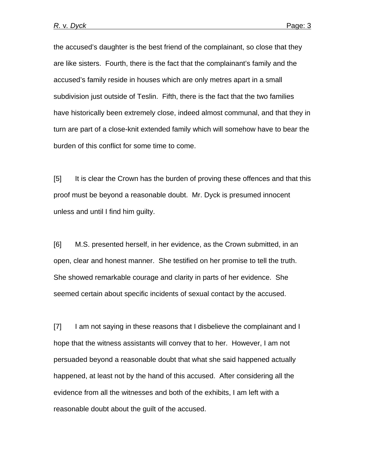the accused's daughter is the best friend of the complainant, so close that they are like sisters. Fourth, there is the fact that the complainant's family and the accused's family reside in houses which are only metres apart in a small subdivision just outside of Teslin. Fifth, there is the fact that the two families have historically been extremely close, indeed almost communal, and that they in turn are part of a close-knit extended family which will somehow have to bear the burden of this conflict for some time to come.

[5] It is clear the Crown has the burden of proving these offences and that this proof must be beyond a reasonable doubt. Mr. Dyck is presumed innocent unless and until I find him guilty.

[6] M.S. presented herself, in her evidence, as the Crown submitted, in an open, clear and honest manner. She testified on her promise to tell the truth. She showed remarkable courage and clarity in parts of her evidence. She seemed certain about specific incidents of sexual contact by the accused.

[7] I am not saying in these reasons that I disbelieve the complainant and I hope that the witness assistants will convey that to her. However, I am not persuaded beyond a reasonable doubt that what she said happened actually happened, at least not by the hand of this accused. After considering all the evidence from all the witnesses and both of the exhibits, I am left with a reasonable doubt about the guilt of the accused.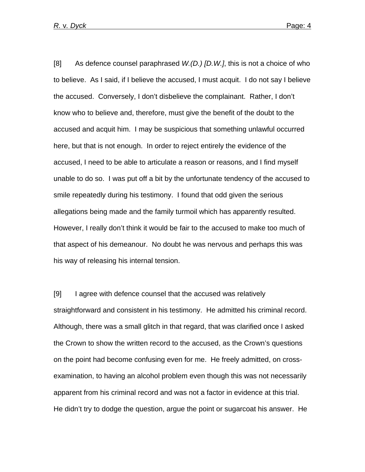[8] As defence counsel paraphrased *W.(D.) [D.W.]*, this is not a choice of who to believe. As I said, if I believe the accused, I must acquit. I do not say I believe the accused. Conversely, I don't disbelieve the complainant. Rather, I don't know who to believe and, therefore, must give the benefit of the doubt to the accused and acquit him. I may be suspicious that something unlawful occurred here, but that is not enough. In order to reject entirely the evidence of the accused, I need to be able to articulate a reason or reasons, and I find myself unable to do so. I was put off a bit by the unfortunate tendency of the accused to smile repeatedly during his testimony. I found that odd given the serious allegations being made and the family turmoil which has apparently resulted. However, I really don't think it would be fair to the accused to make too much of that aspect of his demeanour. No doubt he was nervous and perhaps this was his way of releasing his internal tension.

[9] I agree with defence counsel that the accused was relatively straightforward and consistent in his testimony. He admitted his criminal record. Although, there was a small glitch in that regard, that was clarified once I asked the Crown to show the written record to the accused, as the Crown's questions on the point had become confusing even for me. He freely admitted, on crossexamination, to having an alcohol problem even though this was not necessarily apparent from his criminal record and was not a factor in evidence at this trial. He didn't try to dodge the question, argue the point or sugarcoat his answer. He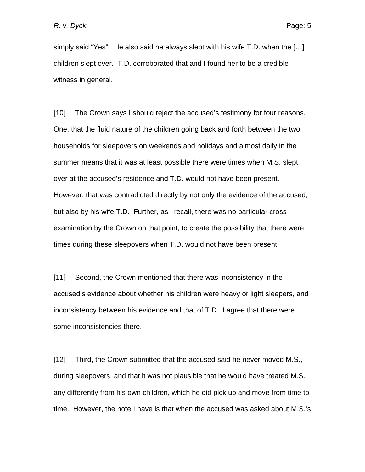simply said "Yes". He also said he always slept with his wife T.D. when the […] children slept over. T.D. corroborated that and I found her to be a credible witness in general.

[10] The Crown says I should reject the accused's testimony for four reasons. One, that the fluid nature of the children going back and forth between the two households for sleepovers on weekends and holidays and almost daily in the summer means that it was at least possible there were times when M.S. slept over at the accused's residence and T.D. would not have been present. However, that was contradicted directly by not only the evidence of the accused, but also by his wife T.D. Further, as I recall, there was no particular crossexamination by the Crown on that point, to create the possibility that there were times during these sleepovers when T.D. would not have been present.

[11] Second, the Crown mentioned that there was inconsistency in the accused's evidence about whether his children were heavy or light sleepers, and inconsistency between his evidence and that of T.D. I agree that there were some inconsistencies there.

[12] Third, the Crown submitted that the accused said he never moved M.S., during sleepovers, and that it was not plausible that he would have treated M.S. any differently from his own children, which he did pick up and move from time to time. However, the note I have is that when the accused was asked about M.S.'s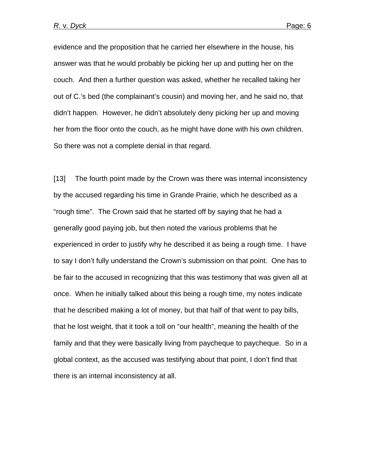evidence and the proposition that he carried her elsewhere in the house, his answer was that he would probably be picking her up and putting her on the couch. And then a further question was asked, whether he recalled taking her out of C.'s bed (the complainant's cousin) and moving her, and he said no, that didn't happen. However, he didn't absolutely deny picking her up and moving her from the floor onto the couch, as he might have done with his own children. So there was not a complete denial in that regard.

[13] The fourth point made by the Crown was there was internal inconsistency by the accused regarding his time in Grande Prairie, which he described as a "rough time". The Crown said that he started off by saying that he had a generally good paying job, but then noted the various problems that he experienced in order to justify why he described it as being a rough time. I have to say I don't fully understand the Crown's submission on that point. One has to be fair to the accused in recognizing that this was testimony that was given all at once. When he initially talked about this being a rough time, my notes indicate that he described making a lot of money, but that half of that went to pay bills, that he lost weight, that it took a toll on "our health", meaning the health of the family and that they were basically living from paycheque to paycheque. So in a global context, as the accused was testifying about that point, I don't find that there is an internal inconsistency at all.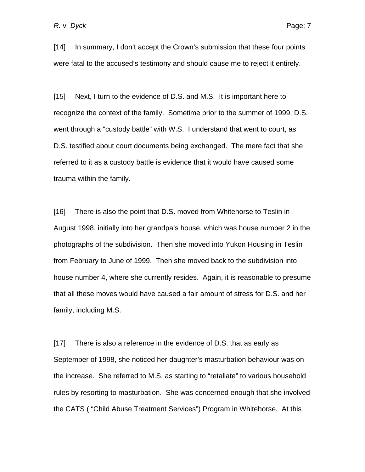[14] In summary, I don't accept the Crown's submission that these four points were fatal to the accused's testimony and should cause me to reject it entirely.

[15] Next, I turn to the evidence of D.S. and M.S. It is important here to recognize the context of the family. Sometime prior to the summer of 1999, D.S. went through a "custody battle" with W.S. I understand that went to court, as D.S. testified about court documents being exchanged. The mere fact that she referred to it as a custody battle is evidence that it would have caused some trauma within the family.

[16] There is also the point that D.S. moved from Whitehorse to Teslin in August 1998, initially into her grandpa's house, which was house number 2 in the photographs of the subdivision. Then she moved into Yukon Housing in Teslin from February to June of 1999. Then she moved back to the subdivision into house number 4, where she currently resides. Again, it is reasonable to presume that all these moves would have caused a fair amount of stress for D.S. and her family, including M.S.

[17] There is also a reference in the evidence of D.S. that as early as September of 1998, she noticed her daughter's masturbation behaviour was on the increase. She referred to M.S. as starting to "retaliate" to various household rules by resorting to masturbation. She was concerned enough that she involved the CATS ( "Child Abuse Treatment Services") Program in Whitehorse. At this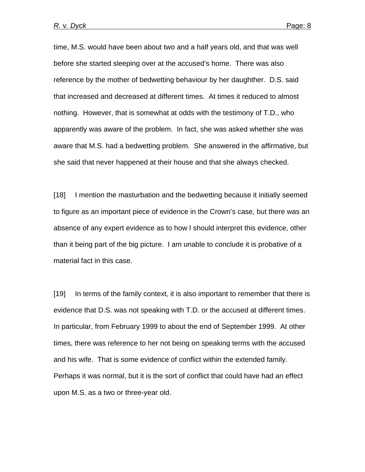time, M.S. would have been about two and a half years old, and that was well before she started sleeping over at the accused's home. There was also reference by the mother of bedwetting behaviour by her daughther. D.S. said that increased and decreased at different times. At times it reduced to almost nothing. However, that is somewhat at odds with the testimony of T.D., who apparently was aware of the problem. In fact, she was asked whether she was aware that M.S. had a bedwetting problem. She answered in the affirmative, but she said that never happened at their house and that she always checked.

[18] I mention the masturbation and the bedwetting because it initially seemed to figure as an important piece of evidence in the Crown's case, but there was an absence of any expert evidence as to how I should interpret this evidence, other than it being part of the big picture. I am unable to conclude it is probative of a material fact in this case.

[19] In terms of the family context, it is also important to remember that there is evidence that D.S. was not speaking with T.D. or the accused at different times. In particular, from February 1999 to about the end of September 1999. At other times, there was reference to her not being on speaking terms with the accused and his wife. That is some evidence of conflict within the extended family. Perhaps it was normal, but it is the sort of conflict that could have had an effect upon M.S. as a two or three-year old.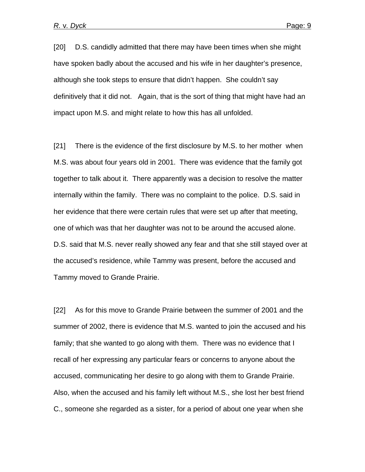[20] D.S. candidly admitted that there may have been times when she might have spoken badly about the accused and his wife in her daughter's presence, although she took steps to ensure that didn't happen. She couldn't say definitively that it did not. Again, that is the sort of thing that might have had an impact upon M.S. and might relate to how this has all unfolded.

[21] There is the evidence of the first disclosure by M.S. to her mother when M.S. was about four years old in 2001. There was evidence that the family got together to talk about it. There apparently was a decision to resolve the matter internally within the family. There was no complaint to the police. D.S. said in her evidence that there were certain rules that were set up after that meeting, one of which was that her daughter was not to be around the accused alone. D.S. said that M.S. never really showed any fear and that she still stayed over at the accused's residence, while Tammy was present, before the accused and Tammy moved to Grande Prairie.

[22] As for this move to Grande Prairie between the summer of 2001 and the summer of 2002, there is evidence that M.S. wanted to join the accused and his family; that she wanted to go along with them. There was no evidence that I recall of her expressing any particular fears or concerns to anyone about the accused, communicating her desire to go along with them to Grande Prairie. Also, when the accused and his family left without M.S., she lost her best friend C., someone she regarded as a sister, for a period of about one year when she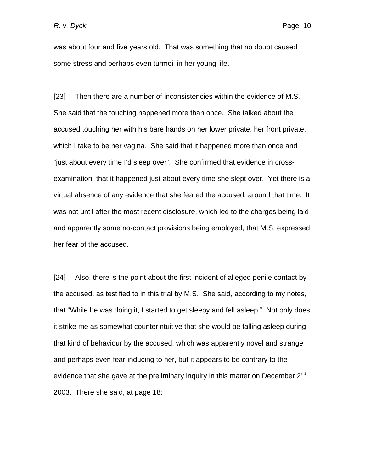was about four and five years old. That was something that no doubt caused some stress and perhaps even turmoil in her young life.

[23] Then there are a number of inconsistencies within the evidence of M.S. She said that the touching happened more than once. She talked about the accused touching her with his bare hands on her lower private, her front private, which I take to be her vagina. She said that it happened more than once and "just about every time I'd sleep over". She confirmed that evidence in crossexamination, that it happened just about every time she slept over. Yet there is a virtual absence of any evidence that she feared the accused, around that time. It was not until after the most recent disclosure, which led to the charges being laid and apparently some no-contact provisions being employed, that M.S. expressed her fear of the accused.

[24] Also, there is the point about the first incident of alleged penile contact by the accused, as testified to in this trial by M.S. She said, according to my notes, that "While he was doing it, I started to get sleepy and fell asleep." Not only does it strike me as somewhat counterintuitive that she would be falling asleep during that kind of behaviour by the accused, which was apparently novel and strange and perhaps even fear-inducing to her, but it appears to be contrary to the evidence that she gave at the preliminary inquiry in this matter on December  $2<sup>nd</sup>$ , 2003. There she said, at page 18: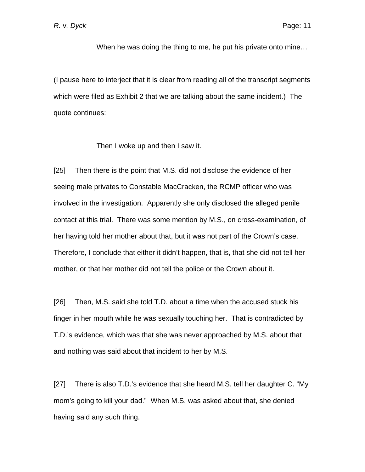When he was doing the thing to me, he put his private onto mine…

(I pause here to interject that it is clear from reading all of the transcript segments which were filed as Exhibit 2 that we are talking about the same incident.) The quote continues:

Then I woke up and then I saw it.

[25] Then there is the point that M.S. did not disclose the evidence of her seeing male privates to Constable MacCracken, the RCMP officer who was involved in the investigation. Apparently she only disclosed the alleged penile contact at this trial. There was some mention by M.S., on cross-examination, of her having told her mother about that, but it was not part of the Crown's case. Therefore, I conclude that either it didn't happen, that is, that she did not tell her mother, or that her mother did not tell the police or the Crown about it.

[26] Then, M.S. said she told T.D. about a time when the accused stuck his finger in her mouth while he was sexually touching her. That is contradicted by T.D.'s evidence, which was that she was never approached by M.S. about that and nothing was said about that incident to her by M.S.

[27] There is also T.D.'s evidence that she heard M.S. tell her daughter C. "My mom's going to kill your dad." When M.S. was asked about that, she denied having said any such thing.